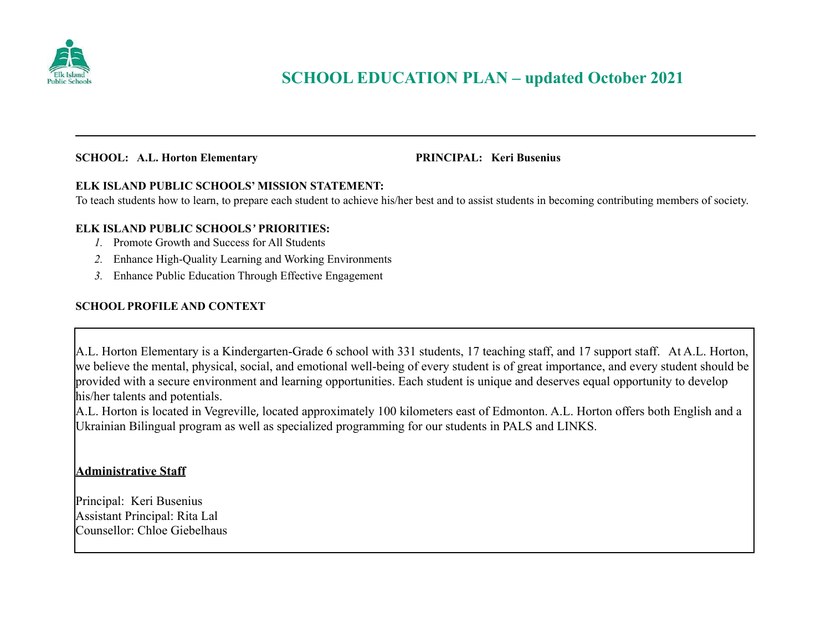

#### **SCHOOL: A.L. Horton Elementary PRINCIPAL: Keri Busenius**

#### **ELK ISLAND PUBLIC SCHOOLS' MISSION STATEMENT:**

To teach students how to learn, to prepare each student to achieve his/her best and to assist students in becoming contributing members of society.

#### **ELK ISLAND PUBLIC SCHOOLS***'* **PRIORITIES:**

- *1.* Promote Growth and Success for All Students
- *2.* Enhance High-Quality Learning and Working Environments
- *3.* Enhance Public Education Through Effective Engagement

### **SCHOOL PROFILE AND CONTEXT**

A.L. Horton Elementary is a Kindergarten-Grade 6 school with 331 students, 17 teaching staff, and 17 support staff. At A.L. Horton, we believe the mental, physical, social, and emotional well-being of every student is of great importance, and every student should be provided with a secure environment and learning opportunities. Each student is unique and deserves equal opportunity to develop his/her talents and potentials.

A.L. Horton is located in Vegreville, located approximately 100 kilometers east of Edmonton. A.L. Horton offers both English and a Ukrainian Bilingual program as well as specialized programming for our students in PALS and LINKS.

### **Administrative Staff**

Principal: Keri Busenius Assistant Principal: Rita Lal Counsellor: Chloe Giebelhaus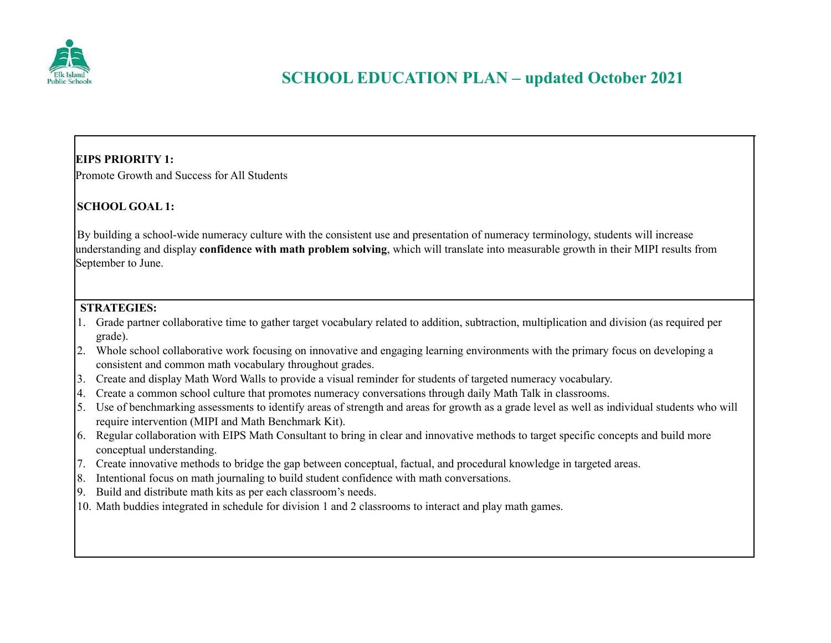

## **EIPS PRIORITY 1:**

Promote Growth and Success for All Students

## **SCHOOL GOAL 1:**

By building a school-wide numeracy culture with the consistent use and presentation of numeracy terminology, students will increase understanding and display **confidence with math problem solving**, which will translate into measurable growth in their MIPI results from September to June.

## **STRATEGIES:**

- 1. Grade partner collaborative time to gather target vocabulary related to addition, subtraction, multiplication and division (as required per grade).
- 2. Whole school collaborative work focusing on innovative and engaging learning environments with the primary focus on developing a consistent and common math vocabulary throughout grades.
- 3. Create and display Math Word Walls to provide a visual reminder for students of targeted numeracy vocabulary.
- 4. Create a common school culture that promotes numeracy conversations through daily Math Talk in classrooms.
- 5. Use of benchmarking assessments to identify areas of strength and areas for growth as a grade level as well as individual students who will require intervention (MIPI and Math Benchmark Kit).
- 6. Regular collaboration with EIPS Math Consultant to bring in clear and innovative methods to target specific concepts and build more conceptual understanding.
- 7. Create innovative methods to bridge the gap between conceptual, factual, and procedural knowledge in targeted areas.
- 8. Intentional focus on math journaling to build student confidence with math conversations.
- 9. Build and distribute math kits as per each classroom's needs.
- 10. Math buddies integrated in schedule for division 1 and 2 classrooms to interact and play math games.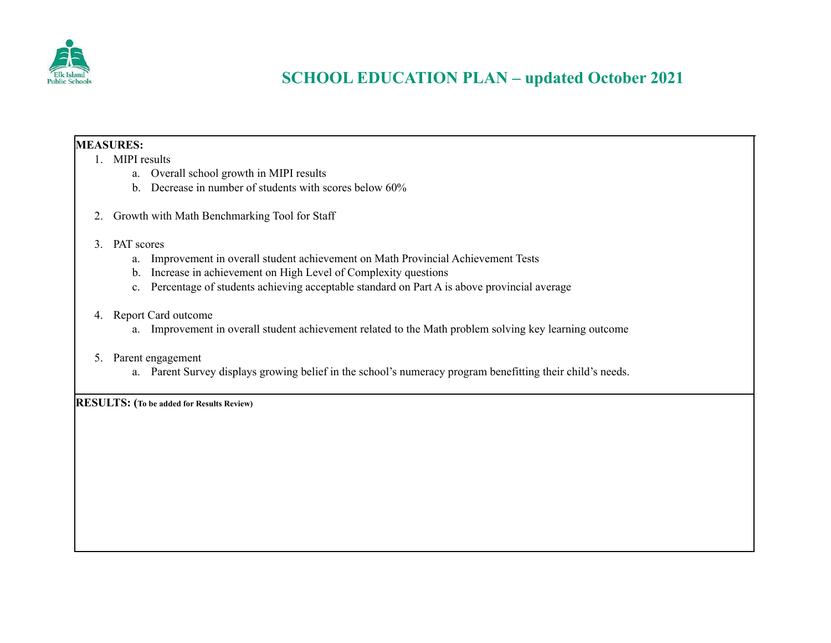

## **MEASURES:**

- 1. MIPI results
	- a. Overall school growth in MIPI results
	- b. Decrease in number of students with scores below 60%
- 2. Growth with Math Benchmarking Tool for Staff
- 3. PAT scores
	- a. Improvement in overall student achievement on Math Provincial Achievement Tests
	- b. Increase in achievement on High Level of Complexity questions
	- c. Percentage of students achieving acceptable standard on Part A is above provincial average

### 4. Report Card outcome

a. Improvement in overall student achievement related to the Math problem solving key learning outcome

#### 5. Parent engagement

a. Parent Survey displays growing belief in the school's numeracy program benefitting their child's needs.

**RESULTS: (To be added for Results Review)**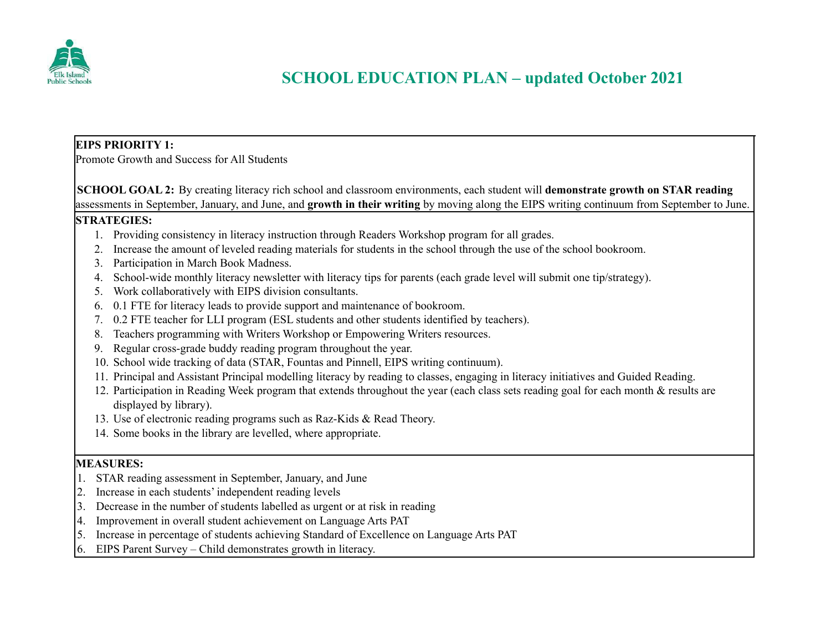

## **EIPS PRIORITY 1:**

Promote Growth and Success for All Students

**SCHOOL GOAL 2:** By creating literacy rich school and classroom environments, each student will **demonstrate growth on STAR reading** assessments in September, January, and June, and **growth in their writing** by moving along the EIPS writing continuum from September to June.

### **STRATEGIES:**

- 1. Providing consistency in literacy instruction through Readers Workshop program for all grades.
- 2. Increase the amount of leveled reading materials for students in the school through the use of the school bookroom.
- 3. Participation in March Book Madness.
- 4. School-wide monthly literacy newsletter with literacy tips for parents (each grade level will submit one tip/strategy).
- 5. Work collaboratively with EIPS division consultants.
- 6. 0.1 FTE for literacy leads to provide support and maintenance of bookroom.
- 7. 0.2 FTE teacher for LLI program (ESL students and other students identified by teachers).
- 8. Teachers programming with Writers Workshop or Empowering Writers resources.
- 9. Regular cross-grade buddy reading program throughout the year.
- 10. School wide tracking of data (STAR, Fountas and Pinnell, EIPS writing continuum).
- 11. Principal and Assistant Principal modelling literacy by reading to classes, engaging in literacy initiatives and Guided Reading.
- 12. Participation in Reading Week program that extends throughout the year (each class sets reading goal for each month & results are displayed by library).
- 13. Use of electronic reading programs such as Raz-Kids & Read Theory.
- 14. Some books in the library are levelled, where appropriate.

## **MEASURES:**

- 1. STAR reading assessment in September, January, and June
- 2. Increase in each students' independent reading levels
- 3. Decrease in the number of students labelled as urgent or at risk in reading
- 4. Improvement in overall student achievement on Language Arts PAT
- 5. Increase in percentage of students achieving Standard of Excellence on Language Arts PAT
- 6. EIPS Parent Survey Child demonstrates growth in literacy.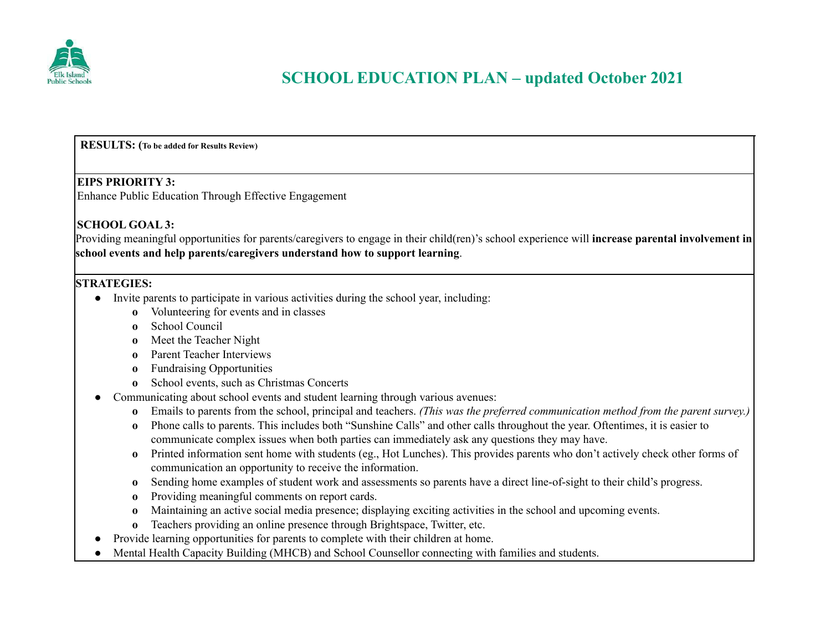

**RESULTS: (To be added for Results Review)**

#### **EIPS PRIORITY 3:**

Enhance Public Education Through Effective Engagement

### **SCHOOL GOAL 3:**

Providing meaningful opportunities for parents/caregivers to engage in their child(ren)'s school experience will **increase parental involvement in school events and help parents/caregivers understand how to support learning**.

### **STRATEGIES:**

- Invite parents to participate in various activities during the school year, including:
	- **o** Volunteering for events and in classes
	- **o** School Council
	- **o** Meet the Teacher Night
	- **o** Parent Teacher Interviews
	- **o** Fundraising Opportunities
	- **o** School events, such as Christmas Concerts
- Communicating about school events and student learning through various avenues:
	- **o** Emails to parents from the school, principal and teachers. *(This was the preferred communication method from the parent survey.)*
	- **o** Phone calls to parents. This includes both "Sunshine Calls" and other calls throughout the year. Oftentimes, it is easier to communicate complex issues when both parties can immediately ask any questions they may have.
	- **o** Printed information sent home with students (eg., Hot Lunches). This provides parents who don't actively check other forms of communication an opportunity to receive the information.
	- **o** Sending home examples of student work and assessments so parents have a direct line-of-sight to their child's progress.
	- **o** Providing meaningful comments on report cards.
	- **o** Maintaining an active social media presence; displaying exciting activities in the school and upcoming events.
	- **o** Teachers providing an online presence through Brightspace, Twitter, etc.
- Provide learning opportunities for parents to complete with their children at home.
- Mental Health Capacity Building (MHCB) and School Counsellor connecting with families and students.